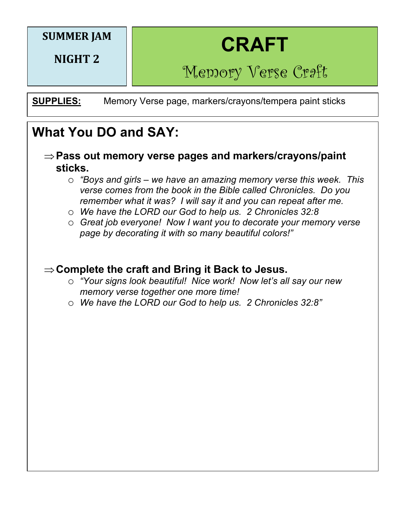### **SUMMER JAM**

**NIGHT 2** 



Memory Verse Craft

**SUPPLIES:** Memory Verse page, markers/crayons/tempera paint sticks

## **What You DO and SAY:**

- Þ**Pass out memory verse pages and markers/crayons/paint sticks.**
	- o *"Boys and girls – we have an amazing memory verse this week. This verse comes from the book in the Bible called Chronicles. Do you remember what it was? I will say it and you can repeat after me.*
	- o *We have the LORD our God to help us. 2 Chronicles 32:8*
	- o *Great job everyone! Now I want you to decorate your memory verse page by decorating it with so many beautiful colors!"*

#### **⇒Complete the craft and Bring it Back to Jesus.**

- o *"Your signs look beautiful! Nice work! Now let's all say our new memory verse together one more time!*
- o *We have the LORD our God to help us. 2 Chronicles 32:8"*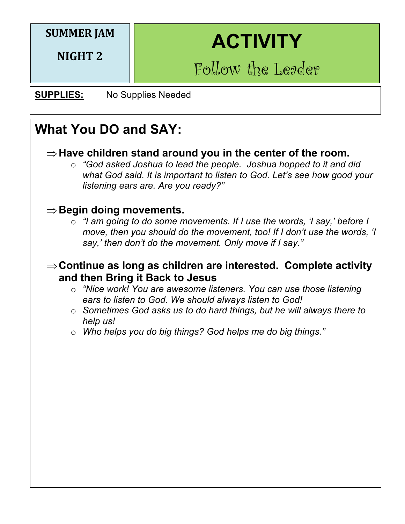## **SUMMER JAM**

**NIGHT 2** 

# **ACTIVITY**

Follow the Leader

**SUPPLIES:** No Supplies Needed

# **What You DO and SAY:**

#### $\Rightarrow$  Have children stand around you in the center of the room.

o *"God asked Joshua to lead the people. Joshua hopped to it and did what God said. It is important to listen to God. Let's see how good your listening ears are. Are you ready?"*

#### $\Rightarrow$  Begin doing movements.

o *"I am going to do some movements. If I use the words, 'I say,' before I move, then you should do the movement, too! If I don't use the words, 'I say,' then don't do the movement. Only move if I say."*

#### $\Rightarrow$  **Continue as long as children are interested. Complete activity and then Bring it Back to Jesus**

- o *"Nice work! You are awesome listeners. You can use those listening ears to listen to God. We should always listen to God!*
- o *Sometimes God asks us to do hard things, but he will always there to help us!*
- o *Who helps you do big things? God helps me do big things."*